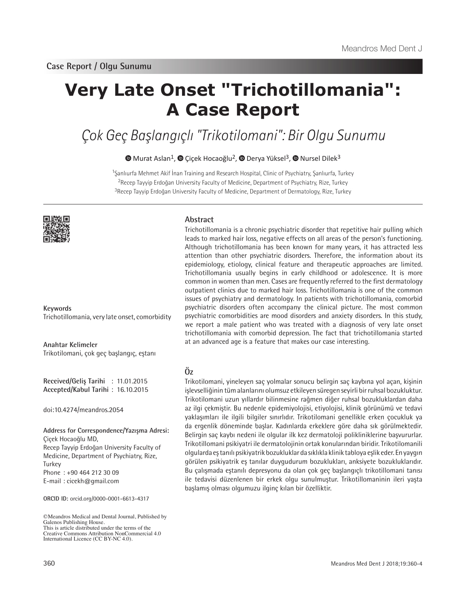# **Very Late Onset "Trichotillomania": A Case Report**

Çok Geç Başlangıçlı "Trikotilomani": Bir Olgu Sunumu

 $\bullet$ Murat Aslan<sup>1</sup>,  $\bullet$  Çiçek Hocaoğlu<sup>2</sup>,  $\bullet$  Derya Yüksel<sup>3</sup>,  $\bullet$  Nursel Dilek<sup>3</sup>

<sup>1</sup>Şanlıurfa Mehmet Akif İnan Training and Research Hospital, Clinic of Psychiatry, Şanlıurfa, Turkey <sup>2</sup>Recep Tayyip Erdoğan University Faculty of Medicine, Department of Psychiatry, Rize, Turkey <sup>3</sup>Recep Tayyip Erdoğan University Faculty of Medicine, Department of Dermatology, Rize, Turkey



**Keywords** Trichotillomania, very late onset, comorbidity

**Anahtar Kelimeler** Trikotilomani, çok geç başlangıç, eştanı

**Received/Geliş Tarihi** : 11.01.2015 **Accepted/Kabul Tarihi** : 16.10.2015

doi:10.4274/meandros.2054

#### **Address for Correspondence/Yazışma Adresi:** Çiçek Hocaoğlu MD,

Recep Tayyip Erdoğan University Faculty of Medicine, Department of Psychiatry, Rize, **Turkey** Phone : +90 464 212 30 09 E-mail : cicekh@gmail.com

**ORCID ID:** orcid.org/0000-0001-6613-4317

©Meandros Medical and Dental Journal, Published by Galenos Publishing House. This is article distributed under the terms of the Creative Commons Attribution NonCommercial 4.0 International Licence (CC BY-NC 4.0).

# **Abstract**

Trichotillomania is a chronic psychiatric disorder that repetitive hair pulling which leads to marked hair loss, negative effects on all areas of the person's functioning. Although trichotillomania has been known for many years, it has attracted less attention than other psychiatric disorders. Therefore, the information about its epidemiology, etiology, clinical feature and therapeutic approaches are limited. Trichotillomania usually begins in early childhood or adolescence. It is more common in women than men. Cases are frequently referred to the first dermatology outpatient clinics due to marked hair loss. Trichotillomania is one of the common issues of psychiatry and dermatology. In patients with trichotillomania, comorbid psychiatric disorders often accompany the clinical picture. The most common psychiatric comorbidities are mood disorders and anxiety disorders. In this study, we report a male patient who was treated with a diagnosis of very late onset trichotillomania with comorbid depression. The fact that trichotillomania started at an advanced age is a feature that makes our case interesting.

# **Öz**

Trikotilomani, yineleyen saç yolmalar sonucu belirgin saç kaybına yol açan, kişinin işlevselliğinin tüm alanlarını olumsuz etkileyen süregen seyirli bir ruhsal bozukluktur. Trikotilomani uzun yıllardır bilinmesine rağmen diğer ruhsal bozukluklardan daha az ilgi çekmiştir. Bu nedenle epidemiyolojisi, etiyolojisi, klinik görünümü ve tedavi yaklaşımları ile ilgili bilgiler sınırlıdır. Trikotilomani genellikle erken çocukluk ya da ergenlik döneminde başlar. Kadınlarda erkeklere göre daha sık görülmektedir. Belirgin saç kaybı nedeni ile olgular ilk kez dermatoloji polikliniklerine başvururlar. Trikotillomani psikiyatri ile dermatolojinin ortak konularından biridir. Trikotilomanili olgularda eş tanılı psikiyatrik bozukluklar da sıklıkla klinik tabloya eşlik eder. En yaygın görülen psikiyatrik eş tanılar duygudurum bozuklukları, anksiyete bozukluklarıdır. Bu çalışmada eştanılı depresyonu da olan çok geç başlangıçlı trikotillomani tanısı ile tedavisi düzenlenen bir erkek olgu sunulmuştur. Trikotillomaninin ileri yaşta başlamış olması olgumuzu ilginç kılan bir özelliktir.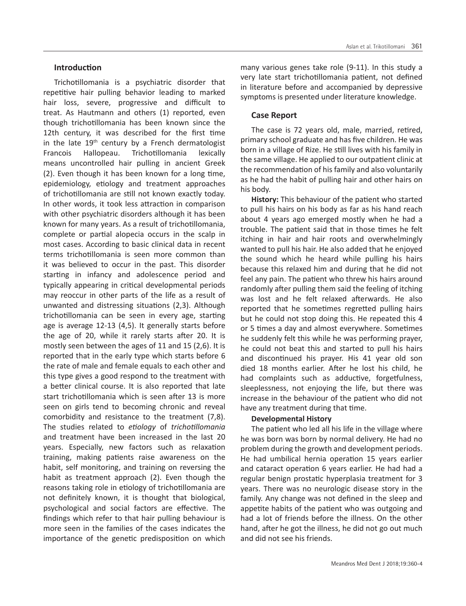# **Introduction**

Trichotillomania is a psychiatric disorder that repetitive hair pulling behavior leading to marked hair loss, severe, progressive and difficult to treat. As Hautmann and others (1) reported, even though trichotillomania has been known since the 12th century, it was described for the first time in the late  $19<sup>th</sup>$  century by a French dermatologist Francois Hallopeau. Trichotillomania lexically means uncontrolled hair pulling in ancient Greek (2). Even though it has been known for a long time, epidemiology, etiology and treatment approaches of trichotillomania are still not known exactly today. In other words, it took less attraction in comparison with other psychiatric disorders although it has been known for many years. As a result of trichotillomania, complete or partial alopecia occurs in the scalp in most cases. According to basic clinical data in recent terms trichotillomania is seen more common than it was believed to occur in the past. This disorder starting in infancy and adolescence period and typically appearing in critical developmental periods may reoccur in other parts of the life as a result of unwanted and distressing situations (2,3). Although trichotillomania can be seen in every age, starting age is average 12-13 (4,5). It generally starts before the age of 20, while it rarely starts after 20. It is mostly seen between the ages of 11 and 15 (2,6). It is reported that in the early type which starts before 6 the rate of male and female equals to each other and this type gives a good respond to the treatment with a better clinical course. It is also reported that late start trichotillomania which is seen after 13 is more seen on girls tend to becoming chronic and reveal comorbidity and resistance to the treatment (7,8). The studies related to *etiology* of *trichotillomania* and treatment have been increased in the last 20 years. Especially, new factors such as relaxation training, making patients raise awareness on the habit, self monitoring, and training on reversing the habit as treatment approach (2). Even though the reasons taking role in etiology of trichotillomania are not definitely known, it is thought that biological, psychological and social factors are effective. The findings which refer to that hair pulling behaviour is more seen in the families of the cases indicates the importance of the genetic predisposition on which

many various genes take role (9-11). In this study a very late start trichotillomania patient, not defined in literature before and accompanied by depressive symptoms is presented under literature knowledge.

# **Case Report**

The case is 72 years old, male, married, retired, primary school graduate and has five children. He was born in a village of Rize. He still lives with his family in the same village. He applied to our outpatient clinic at the recommendation of his family and also voluntarily as he had the habit of pulling hair and other hairs on his body.

**History:** This behaviour of the patient who started to pull his hairs on his body as far as his hand reach about 4 years ago emerged mostly when he had a trouble. The patient said that in those times he felt itching in hair and hair roots and overwhelmingly wanted to pull his hair. He also added that he enjoyed the sound which he heard while pulling his hairs because this relaxed him and during that he did not feel any pain. The patient who threw his hairs around randomly after pulling them said the feeling of itching was lost and he felt relaxed afterwards. He also reported that he sometimes regretted pulling hairs but he could not stop doing this. He repeated this 4 or 5 times a day and almost everywhere. Sometimes he suddenly felt this while he was performing prayer, he could not beat this and started to pull his hairs and discontinued his prayer. His 41 year old son died 18 months earlier. After he lost his child, he had complaints such as adductive, forgetfulness, sleeplessness, not enjoying the life, but there was increase in the behaviour of the patient who did not have any treatment during that time.

#### **Developmental History**

The patient who led all his life in the village where he was born was born by normal delivery. He had no problem during the growth and development periods. He had umbilical hernia operation 15 years earlier and cataract operation 6 years earlier. He had had a regular benign prostatic hyperplasia treatment for 3 years. There was no neurologic disease story in the family. Any change was not defined in the sleep and appetite habits of the patient who was outgoing and had a lot of friends before the illness. On the other hand, after he got the illness, he did not go out much and did not see his friends.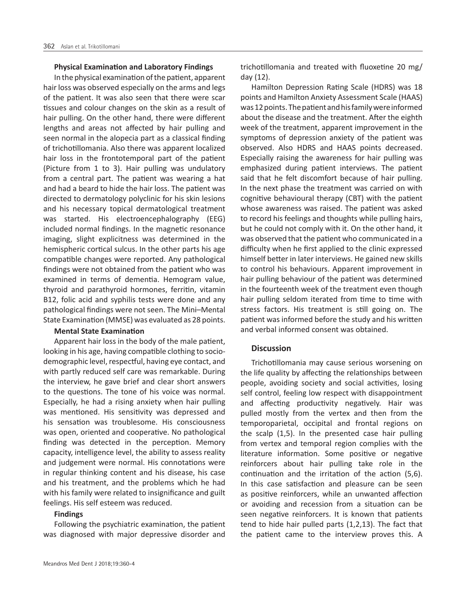#### **Physical Examination and Laboratory Findings**

In the physical examination of the patient, apparent hair loss was observed especially on the arms and legs of the patient. It was also seen that there were scar tissues and colour changes on the skin as a result of hair pulling. On the other hand, there were different lengths and areas not affected by hair pulling and seen normal in the alopecia part as a classical finding of trichotillomania. Also there was apparent localized hair loss in the frontotemporal part of the patient (Picture from 1 to 3). Hair pulling was undulatory from a central part. The patient was wearing a hat and had a beard to hide the hair loss. The patient was directed to dermatology polyclinic for his skin lesions and his necessary topical dermatological treatment was started. His electroencephalography (EEG) included normal findings. In the magnetic resonance imaging, slight explicitness was determined in the hemispheric cortical sulcus. In the other parts his age compatible changes were reported. Any pathological findings were not obtained from the patient who was examined in terms of dementia. Hemogram value, thyroid and parathyroid hormones, ferritin, vitamin B12, folic acid and syphilis tests were done and any pathological findings were not seen. The Mini–Mental State Examination (MMSE) was evaluated as 28 points.

#### **Mental State Examination**

Apparent hair loss in the body of the male patient, looking in his age, having compatible clothing to sociodemographic level, respectful, having eye contact, and with partly reduced self care was remarkable. During the interview, he gave brief and clear short answers to the questions. The tone of his voice was normal. Especially, he had a rising anxiety when hair pulling was mentioned. His sensitivity was depressed and his sensation was troublesome. His consciousness was open, oriented and cooperative. No pathological finding was detected in the perception. Memory capacity, intelligence level, the ability to assess reality and judgement were normal. His connotations were in regular thinking content and his disease, his case and his treatment, and the problems which he had with his family were related to insignificance and guilt feelings. His self esteem was reduced.

# **Findings**

Following the psychiatric examination, the patient was diagnosed with major depressive disorder and

trichotillomania and treated with fluoxetine 20 mg/ day (12).

Hamilton Depression Rating Scale (HDRS) was 18 points and Hamilton Anxiety Assessment Scale (HAAS) was 12 points. The patient and his family were informed about the disease and the treatment. After the eighth week of the treatment, apparent improvement in the symptoms of depression anxiety of the patient was observed. Also HDRS and HAAS points decreased. Especially raising the awareness for hair pulling was emphasized during patient interviews. The patient said that he felt discomfort because of hair pulling. In the next phase the treatment was carried on with cognitive behavioural therapy (CBT) with the patient whose awareness was raised. The patient was asked to record his feelings and thoughts while pulling hairs, but he could not comply with it. On the other hand, it was observed that the patient who communicated in a difficulty when he first applied to the clinic expressed himself better in later interviews. He gained new skills to control his behaviours. Apparent improvement in hair pulling behaviour of the patient was determined in the fourteenth week of the treatment even though hair pulling seldom iterated from time to time with stress factors. His treatment is still going on. The patient was informed before the study and his written and verbal informed consent was obtained.

# **Discussion**

Trichotillomania may cause serious worsening on the life quality by affecting the relationships between people, avoiding society and social activities, losing self control, feeling low respect with disappointment and affecting productivity negatively. Hair was pulled mostly from the vertex and then from the temporoparietal, occipital and frontal regions on the scalp (1,5). In the presented case hair pulling from vertex and temporal region complies with the literature information. Some positive or negative reinforcers about hair pulling take role in the continuation and the irritation of the action (5,6). In this case satisfaction and pleasure can be seen as positive reinforcers, while an unwanted affection or avoiding and recession from a situation can be seen negative reinforcers. It is known that patients tend to hide hair pulled parts (1,2,13). The fact that the patient came to the interview proves this. A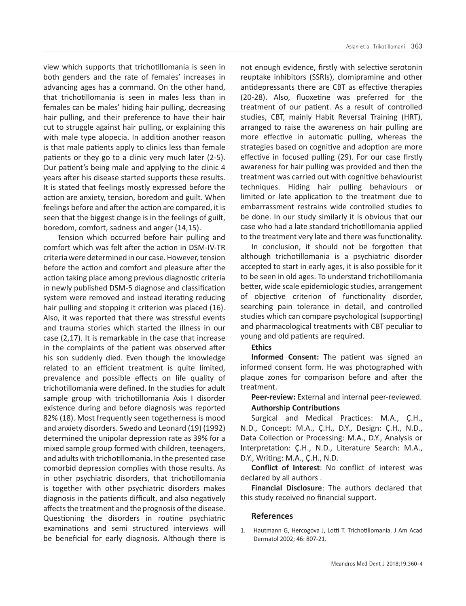view which supports that trichotillomania is seen in both genders and the rate of females' increases in advancing ages has a command. On the other hand, that trichotillomania is seen in males less than in females can be males' hiding hair pulling, decreasing hair pulling, and their preference to have their hair cut to struggle against hair pulling, or explaining this with male type alopecia. In addition another reason is that male patients apply to clinics less than female patients or they go to a clinic very much later (2-5). Our patient's being male and applying to the clinic 4 years after his disease started supports these results. It is stated that feelings mostly expressed before the action are anxiety, tension, boredom and guilt. When feelings before and after the action are compared, it is seen that the biggest change is in the feelings of guilt, boredom, comfort, sadness and anger (14,15).

 Tension which occurred before hair pulling and comfort which was felt after the action in DSM-IV-TR criteria were determined in our case. However, tension before the action and comfort and pleasure after the action taking place among previous diagnostic criteria in newly published DSM-5 diagnose and classification system were removed and instead iterating reducing hair pulling and stopping it criterion was placed (16). Also, it was reported that there was stressful events and trauma stories which started the illness in our case (2,17). It is remarkable in the case that increase in the complaints of the patient was observed after his son suddenly died. Even though the knowledge related to an efficient treatment is quite limited, prevalence and possible effects on life quality of trichotillomania were defined. In the studies for adult sample group with trichotillomania Axis I disorder existence during and before diagnosis was reported 82% (18). Most frequently seen togetherness is mood and anxiety disorders. Swedo and Leonard (19) (1992) determined the unipolar depression rate as 39% for a mixed sample group formed with children, teenagers, and adults with trichotillomania. In the presented case comorbid depression complies with those results. As in other psychiatric disorders, that trichotillomania is together with other psychiatric disorders makes diagnosis in the patients difficult, and also negatively affects the treatment and the prognosis of the disease. Questioning the disorders in routine psychiatric examinations and semi structured interviews will be beneficial for early diagnosis. Although there is

not enough evidence, firstly with selective serotonin reuptake inhibitors (SSRIs), clomipramine and other antidepressants there are CBT as effective therapies (20-28). Also, fluoxetine was preferred for the treatment of our patient. As a result of controlled studies, CBT, mainly Habit Reversal Training (HRT), arranged to raise the awareness on hair pulling are more effective in automatic pulling, whereas the strategies based on cognitive and adoption are more effective in focused pulling (29). For our case firstly awareness for hair pulling was provided and then the treatment was carried out with cognitive behaviourist techniques. Hiding hair pulling behaviours or limited or late application to the treatment due to embarrassment restrains wide controlled studies to be done. In our study similarly it is obvious that our case who had a late standard trichotillomania applied to the treatment very late and there was functionality.

In conclusion, it should not be forgotten that although trichotillomania is a psychiatric disorder accepted to start in early ages, it is also possible for it to be seen in old ages. To understand trichotillomania better, wide scale epidemiologic studies, arrangement of objective criterion of functionality disorder, searching pain tolerance in detail, and controlled studies which can compare psychological (supporting) and pharmacological treatments with CBT peculiar to young and old patients are required.

#### **Ethics**

**Informed Consent:** The patient was signed an informed consent form. He was photographed with plaque zones for comparison before and after the treatment.

**Peer-review:** External and internal peer-reviewed. **Authorship Contributions**

Surgical and Medical Practices: M.A., Ç.H., N.D., Concept: M.A., Ç.H., D.Y., Design: Ç.H., N.D., Data Collection or Processing: M.A., D.Y., Analysis or Interpretation: Ç.H., N.D., Literature Search: M.A., D.Y., Writing: M.A., Ç.H., N.D.

**Conflict of Interest**: No conflict of interest was declared by all authors .

**Financial Disclosure**: The authors declared that this study received no financial support.

# **References**

1. Hautmann G, Hercogova J, Lotti T. Trichotillomania. J Am Acad Dermatol 2002; 46: 807-21.